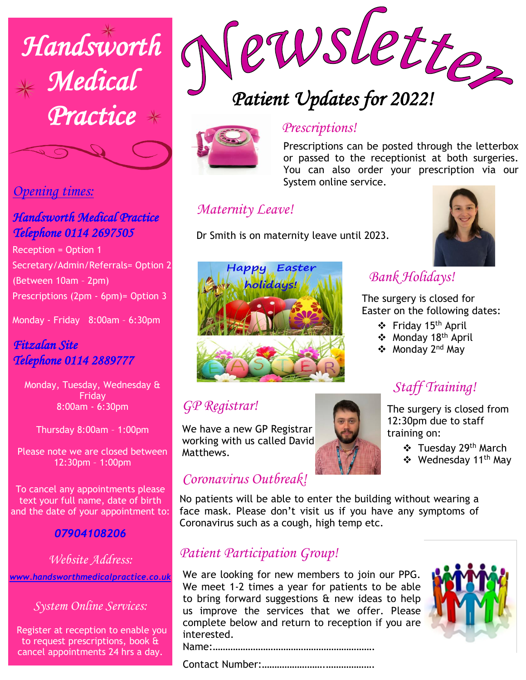

### *Opening times:*

## *Telephone 0114 2697505 Handsworth Medical Practice*

Reception = Option 1 Secretary/Admin/Referrals= Option 2 (Between 10am – 2pm) Prescriptions (2pm - 6pm)= Option 3

Monday - Friday 8:00am – 6:30pm

### *Fitzalan Site Telephone 0114 2889777*

Monday, Tuesday, Wednesday & Friday 8:00am - 6:30pm

Thursday 8:00am – 1:00pm

Please note we are closed between 12:30pm – 1:00pm

To cancel any appointments please text your full name, date of birth and the date of your appointment to:

#### *07904108206*

*Website Address: [www.handsworthmedicalpractice.co.uk](http://www.handsworthmedicalpractice.co.uk/)*

*System Online Services:*

Register at reception to enable you to request prescriptions, book & cancel appointments 24 hrs a day.



# *Patient Updates for 2022!*



### *Prescriptions!*

Prescriptions can be posted through the letterbox or passed to the receptionist at both surgeries. You can also order your prescription via our System online service.

### *Maternity Leave!*

Dr Smith is on maternity leave until 2023.



# Happy Easter

## *GP Registrar!*

We have a new GP Registrar working with us called David Matthews.

### *Coronavirus Outbreak!*

No patients will be able to enter the building without wearing a face mask. Please don't visit us if you have any symptoms of Coronavirus such as a cough, high temp etc.

### *Patient Participation Group!*

We are looking for new members to join our PPG. We meet 1-2 times a year for patients to be able to bring forward suggestions  $\hat{a}$  new ideas to help us improve the services that we offer. Please complete below and return to reception if you are interested.

Name:……………………………………………………….

Contact Number:…………………….……………….



## *Staff Training!*

The surgery is closed from 12:30pm due to staff training on:

- ❖ Tuesday 29th March
- ❖ Wednesday 11th May
- 

The surgery is closed for Easter on the following dates: ❖ Friday 15th April ❖ Monday 18th April ❖ Monday 2<sup>nd</sup> May

*Bank Holidays!*